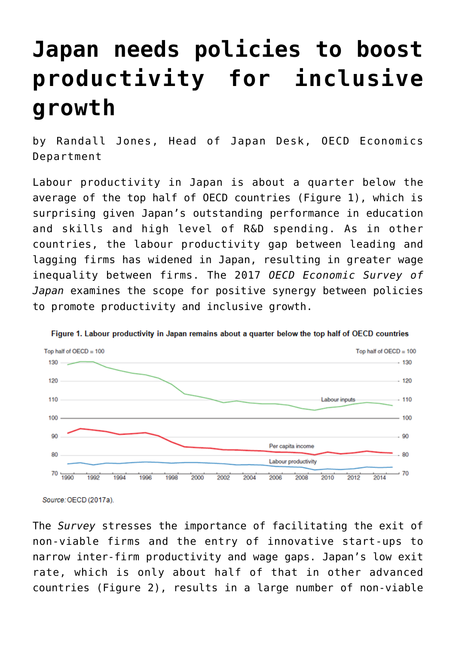## **[Japan needs policies to boost](https://oecdecoscope.blog/2017/04/25/japan-needs-policies-to-boost-productivity-for-inclusive-growth/) [productivity for inclusive](https://oecdecoscope.blog/2017/04/25/japan-needs-policies-to-boost-productivity-for-inclusive-growth/) [growth](https://oecdecoscope.blog/2017/04/25/japan-needs-policies-to-boost-productivity-for-inclusive-growth/)**

by Randall Jones, Head of Japan Desk, OECD Economics Department

Labour productivity in Japan is about a quarter below the average of the top half of OECD countries (Figure 1), which is surprising given Japan's outstanding performance in education and skills and high level of R&D spending. As in other countries, the labour productivity gap between leading and lagging firms has widened in Japan, resulting in greater wage inequality between firms. The 2017 *[OECD Economic Survey of](http://www.oecd.org/eco/surveys/economic-survey-japan.htm) [Japan](http://www.oecd.org/eco/surveys/economic-survey-japan.htm)* examines the scope for positive synergy between policies to promote productivity and inclusive growth.



Figure 1. Labour productivity in Japan remains about a quarter below the top half of OECD countries

Source: OECD (2017a).

The *[Survey](http://www.oecd.org/eco/surveys/economic-survey-japan.htm)* stresses the importance of facilitating the exit of non-viable firms and the entry of innovative start-ups to narrow inter-firm productivity and wage gaps. Japan's low exit rate, which is only about half of that in other advanced countries (Figure 2), results in a large number of non-viable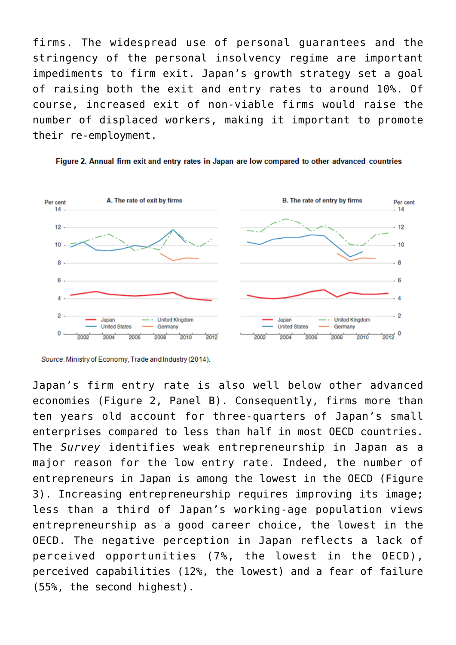firms. The widespread use of personal guarantees and the stringency of the personal insolvency regime are important impediments to firm exit. Japan's growth strategy set a goal of raising both the exit and entry rates to around 10%. Of course, increased exit of non-viable firms would raise the number of displaced workers, making it important to promote their re-employment.





Japan's firm entry rate is also well below other advanced economies (Figure 2, Panel B). Consequently, firms more than ten years old account for three-quarters of Japan's small enterprises compared to less than half in most OECD countries. The *Survey* identifies weak entrepreneurship in Japan as a major reason for the low entry rate. Indeed, the number of entrepreneurs in Japan is among the lowest in the OECD (Figure 3). Increasing entrepreneurship requires improving its image; less than a third of Japan's working-age population views entrepreneurship as a good career choice, the lowest in the OECD. The negative perception in Japan reflects a lack of perceived opportunities (7%, the lowest in the OECD), perceived capabilities (12%, the lowest) and a fear of failure (55%, the second highest).

Source: Ministry of Economy, Trade and Industry (2014).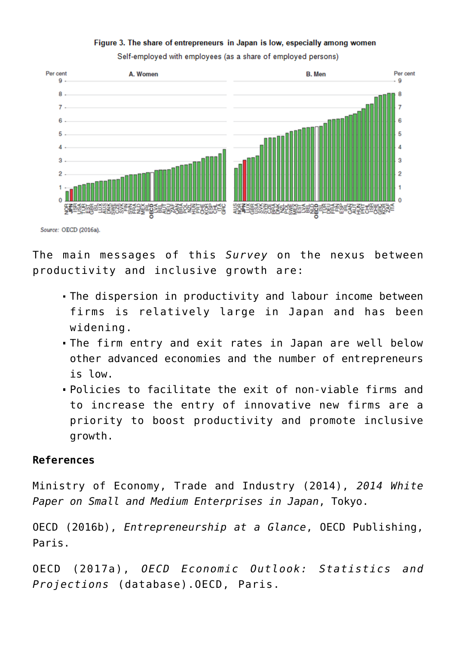## Figure 3. The share of entrepreneurs in Japan is low, especially among women





Source: OECD (2016a).

The main messages of [this](http://www.oecd.org/eco/surveys/economic-survey-japan.htm) *[Survey](http://www.oecd.org/eco/surveys/economic-survey-japan.htm)* on the nexus between productivity and inclusive growth are:

- The dispersion in productivity and labour income between firms is relatively large in Japan and has been widening.
- The firm entry and exit rates in Japan are well below other advanced economies and the number of entrepreneurs is low.
- Policies to facilitate the exit of non-viable firms and to increase the entry of innovative new firms are a priority to boost productivity and promote inclusive growth.

## **References**

Ministry of Economy, Trade and Industry (2014), *2014 White Paper on Small and Medium Enterprises in Japan*, Tokyo.

OECD (2016b), *Entrepreneurship at a Glance*, OECD Publishing, Paris.

OECD (2017a), *OECD Economic Outlook: Statistics and Projections* (database).OECD, Paris.